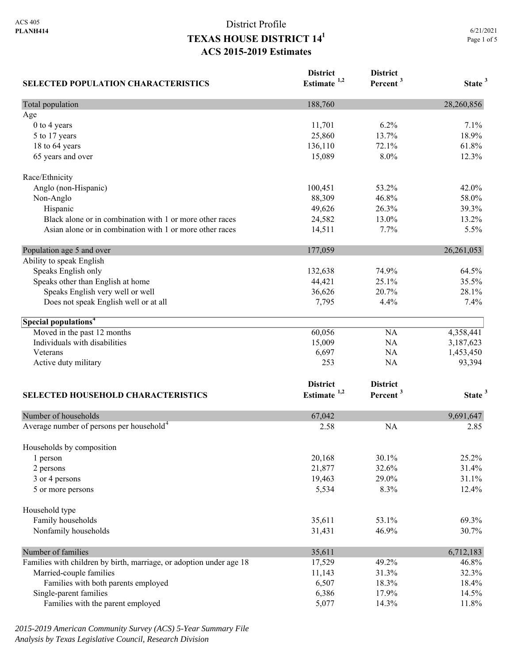| <b>SELECTED POPULATION CHARACTERISTICS</b>                          | <b>District</b><br>Estimate <sup>1,2</sup> | <b>District</b><br>Percent <sup>3</sup> | State <sup>3</sup> |
|---------------------------------------------------------------------|--------------------------------------------|-----------------------------------------|--------------------|
| Total population                                                    | 188,760                                    |                                         | 28,260,856         |
| Age                                                                 |                                            |                                         |                    |
| 0 to 4 years                                                        | 11,701                                     | 6.2%                                    | 7.1%               |
| 5 to 17 years                                                       | 25,860                                     | 13.7%                                   | 18.9%              |
| 18 to 64 years                                                      | 136,110                                    | 72.1%                                   | 61.8%              |
| 65 years and over                                                   | 15,089                                     | 8.0%                                    | 12.3%              |
| Race/Ethnicity                                                      |                                            |                                         |                    |
| Anglo (non-Hispanic)                                                | 100,451                                    | 53.2%                                   | 42.0%              |
| Non-Anglo                                                           | 88,309                                     | 46.8%                                   | 58.0%              |
| Hispanic                                                            | 49,626                                     | 26.3%                                   | 39.3%              |
| Black alone or in combination with 1 or more other races            | 24,582                                     | 13.0%                                   | 13.2%              |
| Asian alone or in combination with 1 or more other races            | 14,511                                     | 7.7%                                    | 5.5%               |
| Population age 5 and over                                           | 177,059                                    |                                         | 26, 261, 053       |
| Ability to speak English                                            |                                            |                                         |                    |
| Speaks English only                                                 | 132,638                                    | 74.9%                                   | 64.5%              |
| Speaks other than English at home                                   | 44,421                                     | 25.1%                                   | 35.5%              |
| Speaks English very well or well                                    | 36,626                                     | 20.7%                                   | 28.1%              |
| Does not speak English well or at all                               | 7,795                                      | 4.4%                                    | 7.4%               |
| Special populations <sup>4</sup>                                    |                                            |                                         |                    |
| Moved in the past 12 months                                         | 60,056                                     | <b>NA</b>                               | 4,358,441          |
| Individuals with disabilities                                       | 15,009                                     | <b>NA</b>                               | 3,187,623          |
| Veterans                                                            | 6,697                                      | <b>NA</b>                               | 1,453,450          |
| Active duty military                                                | 253                                        | <b>NA</b>                               | 93,394             |
|                                                                     | <b>District</b>                            | <b>District</b>                         |                    |
| <b>SELECTED HOUSEHOLD CHARACTERISTICS</b>                           | Estimate $1,2$                             | Percent <sup>3</sup>                    | State <sup>3</sup> |
| Number of households                                                | 67,042                                     |                                         | 9,691,647          |
| Average number of persons per household <sup>4</sup>                | 2.58                                       | <b>NA</b>                               | 2.85               |
|                                                                     |                                            |                                         |                    |
| Households by composition                                           |                                            |                                         |                    |
| 1 person                                                            | 20,168                                     | 30.1%                                   | 25.2%              |
| 2 persons                                                           | 21,877                                     | 32.6%                                   | 31.4%              |
| 3 or 4 persons                                                      | 19,463                                     | 29.0%                                   | 31.1%              |
| 5 or more persons                                                   | 5,534                                      | 8.3%                                    | 12.4%              |
| Household type                                                      |                                            |                                         |                    |
| Family households                                                   | 35,611                                     | 53.1%                                   | 69.3%              |
| Nonfamily households                                                | 31,431                                     | 46.9%                                   | 30.7%              |
| Number of families                                                  | 35,611                                     |                                         | 6,712,183          |
| Families with children by birth, marriage, or adoption under age 18 | 17,529                                     | 49.2%                                   | 46.8%              |
| Married-couple families                                             | 11,143                                     | 31.3%                                   | 32.3%              |
| Families with both parents employed                                 | 6,507                                      | 18.3%                                   | 18.4%              |
| Single-parent families                                              | 6,386                                      | 17.9%                                   | 14.5%              |
| Families with the parent employed                                   | 5,077                                      | 14.3%                                   | 11.8%              |

*2015-2019 American Community Survey (ACS) 5-Year Summary File Analysis by Texas Legislative Council, Research Division*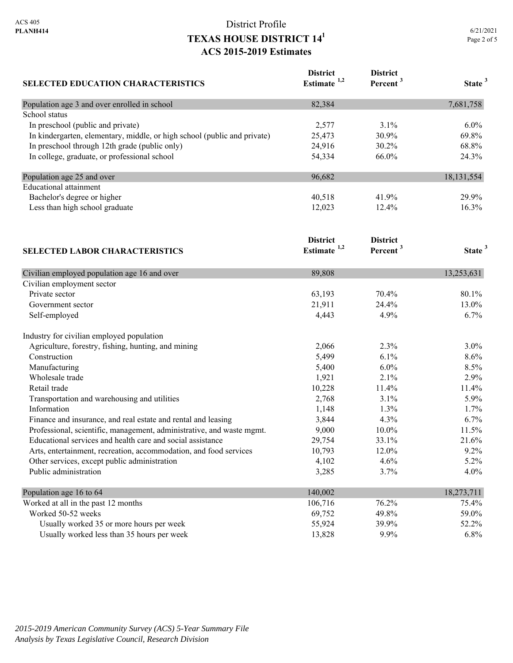| <b>SELECTED EDUCATION CHARACTERISTICS</b>                                | <b>District</b><br>Estimate <sup>1,2</sup> | <b>District</b><br>Percent <sup>3</sup> | State <sup>3</sup> |
|--------------------------------------------------------------------------|--------------------------------------------|-----------------------------------------|--------------------|
| Population age 3 and over enrolled in school                             | 82,384                                     |                                         | 7,681,758          |
| School status                                                            |                                            |                                         |                    |
| In preschool (public and private)                                        | 2,577                                      | 3.1%                                    | 6.0%               |
| In kindergarten, elementary, middle, or high school (public and private) | 25,473                                     | 30.9%                                   | 69.8%              |
| In preschool through 12th grade (public only)                            | 24,916                                     | 30.2%                                   | 68.8%              |
| In college, graduate, or professional school                             | 54,334                                     | 66.0%                                   | 24.3%              |
| Population age 25 and over                                               | 96,682                                     |                                         | 18, 131, 554       |
| <b>Educational</b> attainment                                            |                                            |                                         |                    |
| Bachelor's degree or higher                                              | 40,518                                     | 41.9%                                   | 29.9%              |
| Less than high school graduate                                           | 12,023                                     | 12.4%                                   | 16.3%              |
| <b>SELECTED LABOR CHARACTERISTICS</b>                                    | <b>District</b><br>Estimate $1,2$          | <b>District</b><br>Percent <sup>3</sup> | State <sup>3</sup> |
|                                                                          |                                            |                                         |                    |
| Civilian employed population age 16 and over                             | 89,808                                     |                                         | 13,253,631         |
| Civilian employment sector                                               |                                            |                                         |                    |
| Private sector                                                           | 63,193                                     | 70.4%                                   | 80.1%              |
| Government sector                                                        | 21,911                                     | 24.4%                                   | 13.0%              |
| Self-employed                                                            | 4,443                                      | 4.9%                                    | 6.7%               |
| Industry for civilian employed population                                |                                            |                                         |                    |
| Agriculture, forestry, fishing, hunting, and mining                      | 2,066                                      | 2.3%                                    | 3.0%               |
| Construction                                                             | 5,499                                      | 6.1%                                    | 8.6%               |
| Manufacturing                                                            | 5,400                                      | 6.0%                                    | 8.5%               |
| Wholesale trade                                                          | 1,921                                      | 2.1%                                    | 2.9%               |
| Retail trade                                                             | 10,228                                     | 11.4%                                   | 11.4%              |
| Transportation and warehousing and utilities                             | 2,768                                      | 3.1%                                    | 5.9%               |
| Information                                                              | 1,148                                      | 1.3%                                    | 1.7%               |
| Finance and insurance, and real estate and rental and leasing            | 3,844                                      | 4.3%                                    | 6.7%               |
| Professional, scientific, management, administrative, and waste mgmt.    | 9,000                                      | 10.0%                                   | 11.5%              |
| Educational services and health care and social assistance               | 29,754                                     | 33.1%                                   | 21.6%              |
| Arts, entertainment, recreation, accommodation, and food services        | 10,793                                     | 12.0%                                   | 9.2%               |
| Other services, except public administration                             | 4,102                                      | 4.6%                                    | 5.2%               |
| Public administration                                                    | 3,285                                      | 3.7%                                    | 4.0%               |
| Population age 16 to 64                                                  | 140,002                                    |                                         | 18,273,711         |
| Worked at all in the past 12 months                                      | 106,716                                    | 76.2%                                   | 75.4%              |
| Worked 50-52 weeks                                                       | 69,752                                     | 49.8%                                   | 59.0%              |
| Usually worked 35 or more hours per week                                 | 55,924                                     | 39.9%                                   | 52.2%              |
| Usually worked less than 35 hours per week                               | 13,828                                     | 9.9%                                    | 6.8%               |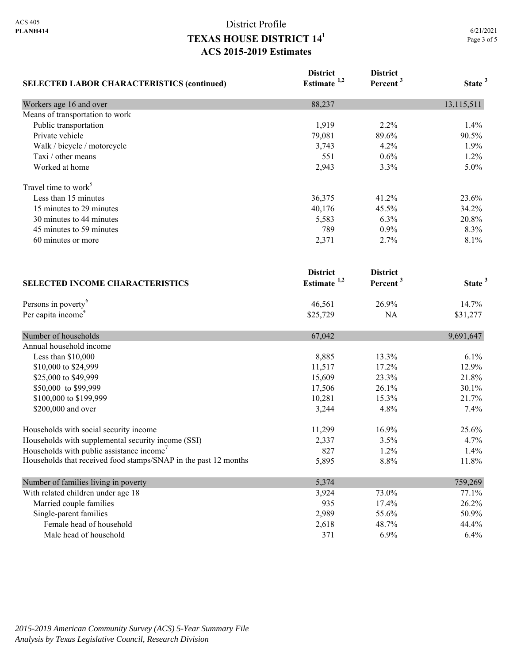| <b>SELECTED LABOR CHARACTERISTICS (continued)</b>               | <b>District</b><br>Estimate <sup>1,2</sup> | <b>District</b><br>Percent <sup>3</sup> | State <sup>3</sup> |
|-----------------------------------------------------------------|--------------------------------------------|-----------------------------------------|--------------------|
| Workers age 16 and over                                         | 88,237                                     |                                         | 13,115,511         |
| Means of transportation to work                                 |                                            |                                         |                    |
| Public transportation                                           | 1,919                                      | 2.2%                                    | 1.4%               |
| Private vehicle                                                 | 79,081                                     | 89.6%                                   | 90.5%              |
| Walk / bicycle / motorcycle                                     | 3,743                                      | 4.2%                                    | 1.9%               |
| Taxi / other means                                              | 551                                        | 0.6%                                    | 1.2%               |
| Worked at home                                                  | 2,943                                      | 3.3%                                    | 5.0%               |
| Travel time to work <sup>5</sup>                                |                                            |                                         |                    |
| Less than 15 minutes                                            | 36,375                                     | 41.2%                                   | 23.6%              |
| 15 minutes to 29 minutes                                        | 40,176                                     | 45.5%                                   | 34.2%              |
| 30 minutes to 44 minutes                                        | 5,583                                      | 6.3%                                    | 20.8%              |
| 45 minutes to 59 minutes                                        | 789                                        | 0.9%                                    | 8.3%               |
| 60 minutes or more                                              | 2,371                                      | 2.7%                                    | 8.1%               |
|                                                                 | <b>District</b>                            | <b>District</b>                         |                    |
| <b>SELECTED INCOME CHARACTERISTICS</b>                          | Estimate <sup>1,2</sup>                    | Percent <sup>3</sup>                    | State <sup>3</sup> |
| Persons in poverty <sup>6</sup>                                 | 46,561                                     | 26.9%                                   | 14.7%              |
| Per capita income <sup>4</sup>                                  | \$25,729                                   | NA                                      | \$31,277           |
| Number of households                                            | 67,042                                     |                                         | 9,691,647          |
| Annual household income                                         |                                            |                                         |                    |
| Less than \$10,000                                              | 8,885                                      | 13.3%                                   | 6.1%               |
| \$10,000 to \$24,999                                            | 11,517                                     | 17.2%                                   | 12.9%              |
| \$25,000 to \$49,999                                            | 15,609                                     | 23.3%                                   | 21.8%              |
| \$50,000 to \$99,999                                            | 17,506                                     | 26.1%                                   | 30.1%              |
| \$100,000 to \$199,999                                          | 10,281                                     | 15.3%                                   | 21.7%              |
| \$200,000 and over                                              | 3,244                                      | 4.8%                                    | 7.4%               |
| Households with social security income                          | 11,299                                     | 16.9%                                   | 25.6%              |
| Households with supplemental security income (SSI)              | 2,337                                      | 3.5%                                    | 4.7%               |
| Households with public assistance income'                       | 827                                        | 1.2%                                    | 1.4%               |
| Households that received food stamps/SNAP in the past 12 months | 5,895                                      | 8.8%                                    | 11.8%              |
| Number of families living in poverty                            | 5,374                                      |                                         | 759,269            |
| With related children under age 18                              | 3,924                                      | 73.0%                                   | 77.1%              |
| Married couple families                                         | 935                                        | 17.4%                                   | 26.2%              |
| Single-parent families                                          | 2,989                                      | 55.6%                                   | 50.9%              |
| Female head of household                                        | 2,618                                      | 48.7%                                   | 44.4%              |
| Male head of household                                          | 371                                        | 6.9%                                    | 6.4%               |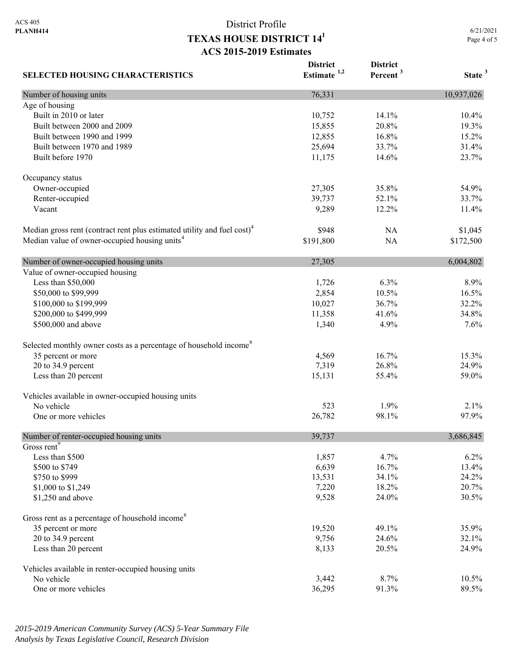6/21/2021 Page 4 of 5

| <b>SELECTED HOUSING CHARACTERISTICS</b>                                             | <b>District</b><br>Estimate $1,2$ | <b>District</b><br>Percent <sup>3</sup> | State <sup>3</sup> |
|-------------------------------------------------------------------------------------|-----------------------------------|-----------------------------------------|--------------------|
| Number of housing units                                                             | 76,331                            |                                         | 10,937,026         |
| Age of housing                                                                      |                                   |                                         |                    |
| Built in 2010 or later                                                              | 10,752                            | 14.1%                                   | 10.4%              |
| Built between 2000 and 2009                                                         | 15,855                            | 20.8%                                   | 19.3%              |
| Built between 1990 and 1999                                                         | 12,855                            | 16.8%                                   | 15.2%              |
| Built between 1970 and 1989                                                         | 25,694                            | 33.7%                                   | 31.4%              |
| Built before 1970                                                                   | 11,175                            | 14.6%                                   | 23.7%              |
| Occupancy status                                                                    |                                   |                                         |                    |
| Owner-occupied                                                                      | 27,305                            | 35.8%                                   | 54.9%              |
| Renter-occupied                                                                     | 39,737                            | 52.1%                                   | 33.7%              |
| Vacant                                                                              | 9,289                             | 12.2%                                   | 11.4%              |
| Median gross rent (contract rent plus estimated utility and fuel cost) <sup>4</sup> | \$948                             | NA                                      | \$1,045            |
| Median value of owner-occupied housing units <sup>4</sup>                           | \$191,800                         | <b>NA</b>                               | \$172,500          |
| Number of owner-occupied housing units                                              | 27,305                            |                                         | 6,004,802          |
| Value of owner-occupied housing                                                     |                                   |                                         |                    |
| Less than \$50,000                                                                  | 1,726                             | 6.3%                                    | 8.9%               |
| \$50,000 to \$99,999                                                                | 2,854                             | 10.5%                                   | 16.5%              |
| \$100,000 to \$199,999                                                              | 10,027                            | 36.7%                                   | 32.2%              |
| \$200,000 to \$499,999                                                              | 11,358                            | 41.6%                                   | 34.8%              |
| \$500,000 and above                                                                 | 1,340                             | 4.9%                                    | 7.6%               |
| Selected monthly owner costs as a percentage of household income <sup>8</sup>       |                                   |                                         |                    |
| 35 percent or more                                                                  | 4,569                             | 16.7%                                   | 15.3%              |
| 20 to 34.9 percent                                                                  | 7,319                             | 26.8%                                   | 24.9%              |
| Less than 20 percent                                                                | 15,131                            | 55.4%                                   | 59.0%              |
| Vehicles available in owner-occupied housing units                                  |                                   |                                         |                    |
| No vehicle                                                                          | 523                               | 1.9%                                    | 2.1%               |
| One or more vehicles                                                                | 26,782                            | 98.1%                                   | 97.9%              |
| Number of renter-occupied housing units                                             | 39,737                            |                                         | 3,686,845          |
| Gross rent <sup>9</sup>                                                             |                                   |                                         |                    |
| Less than \$500                                                                     | 1,857                             | 4.7%                                    | 6.2%               |
| \$500 to \$749                                                                      | 6,639                             | 16.7%                                   | 13.4%              |
| \$750 to \$999                                                                      | 13,531                            | 34.1%                                   | 24.2%              |
| \$1,000 to \$1,249                                                                  | 7,220                             | 18.2%                                   | 20.7%              |
| \$1,250 and above                                                                   | 9,528                             | 24.0%                                   | 30.5%              |
| Gross rent as a percentage of household income <sup>8</sup>                         |                                   |                                         |                    |
| 35 percent or more                                                                  | 19,520                            | 49.1%                                   | 35.9%              |
| 20 to 34.9 percent                                                                  | 9,756                             | 24.6%                                   | 32.1%              |
| Less than 20 percent                                                                | 8,133                             | 20.5%                                   | 24.9%              |
| Vehicles available in renter-occupied housing units                                 |                                   |                                         |                    |
| No vehicle                                                                          | 3,442                             | 8.7%                                    | 10.5%              |
| One or more vehicles                                                                | 36,295                            | 91.3%                                   | 89.5%              |